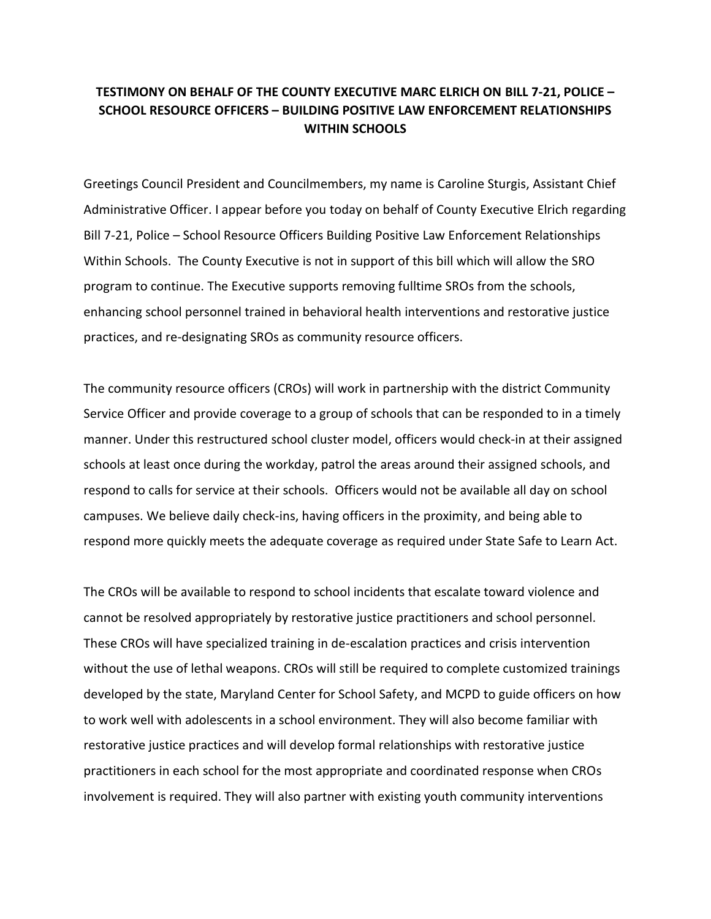## **TESTIMONY ON BEHALF OF THE COUNTY EXECUTIVE MARC ELRICH ON BILL 7-21, POLICE – SCHOOL RESOURCE OFFICERS – BUILDING POSITIVE LAW ENFORCEMENT RELATIONSHIPS WITHIN SCHOOLS**

Greetings Council President and Councilmembers, my name is Caroline Sturgis, Assistant Chief Administrative Officer. I appear before you today on behalf of County Executive Elrich regarding Bill 7-21, Police – School Resource Officers Building Positive Law Enforcement Relationships Within Schools. The County Executive is not in support of this bill which will allow the SRO program to continue. The Executive supports removing fulltime SROs from the schools, enhancing school personnel trained in behavioral health interventions and restorative justice practices, and re-designating SROs as community resource officers.

The community resource officers (CROs) will work in partnership with the district Community Service Officer and provide coverage to a group of schools that can be responded to in a timely manner. Under this restructured school cluster model, officers would check-in at their assigned schools at least once during the workday, patrol the areas around their assigned schools, and respond to calls for service at their schools. Officers would not be available all day on school campuses. We believe daily check-ins, having officers in the proximity, and being able to respond more quickly meets the adequate coverage as required under State Safe to Learn Act.

The CROs will be available to respond to school incidents that escalate toward violence and cannot be resolved appropriately by restorative justice practitioners and school personnel. These CROs will have specialized training in de-escalation practices and crisis intervention without the use of lethal weapons. CROs will still be required to complete customized trainings developed by the state, Maryland Center for School Safety, and MCPD to guide officers on how to work well with adolescents in a school environment. They will also become familiar with restorative justice practices and will develop formal relationships with restorative justice practitioners in each school for the most appropriate and coordinated response when CROs involvement is required. They will also partner with existing youth community interventions